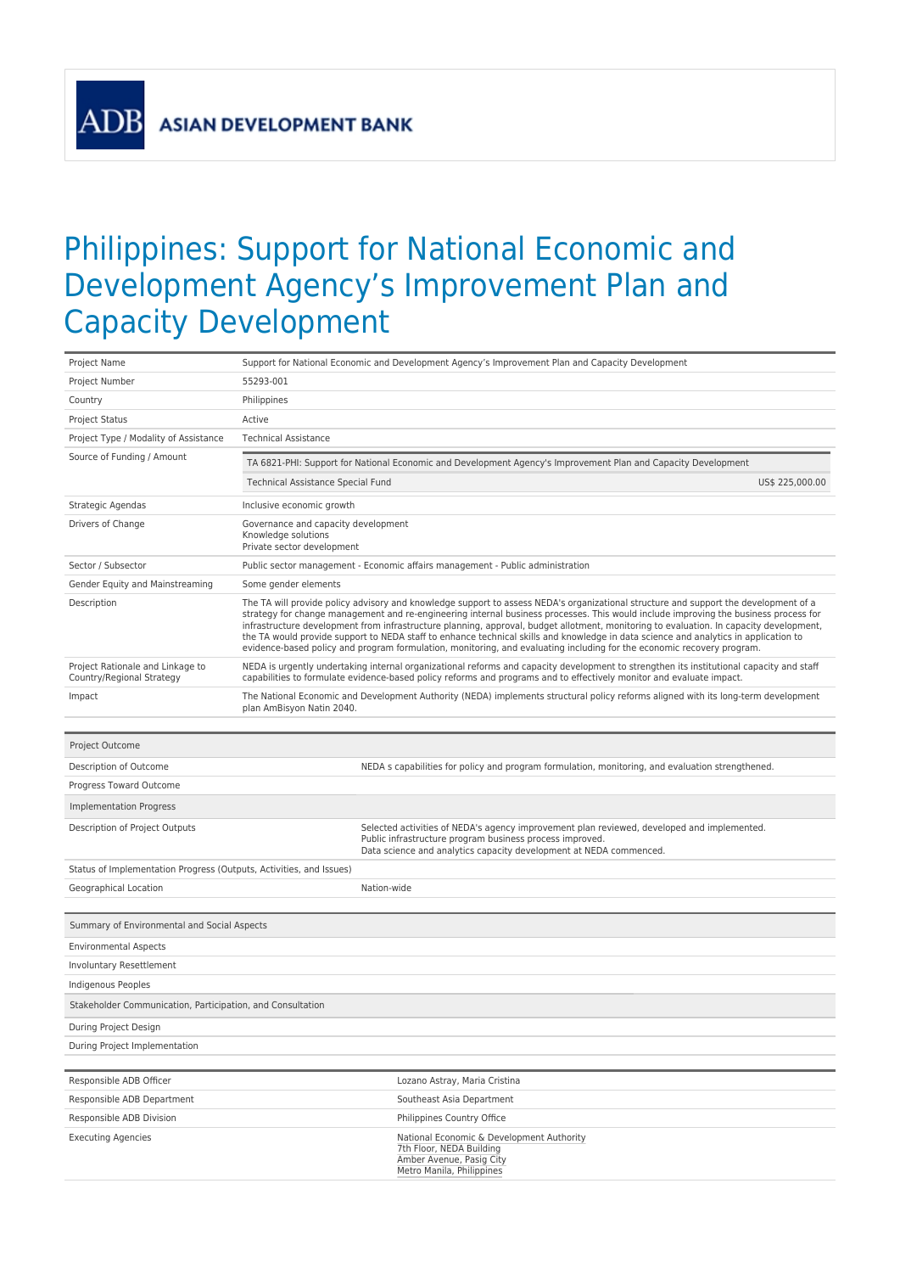**ASIAN DEVELOPMENT BANK** 

**AD** 

## Philippines: Support for National Economic and Development Agency's Improvement Plan and Capacity Development

| Project Name                                                        | Support for National Economic and Development Agency's Improvement Plan and Capacity Development                                                                                                                                                                                                                                                                                                                                                                                                                                                                                                                                                                                          |  |  |  |
|---------------------------------------------------------------------|-------------------------------------------------------------------------------------------------------------------------------------------------------------------------------------------------------------------------------------------------------------------------------------------------------------------------------------------------------------------------------------------------------------------------------------------------------------------------------------------------------------------------------------------------------------------------------------------------------------------------------------------------------------------------------------------|--|--|--|
| Project Number                                                      | 55293-001                                                                                                                                                                                                                                                                                                                                                                                                                                                                                                                                                                                                                                                                                 |  |  |  |
| Country                                                             | Philippines                                                                                                                                                                                                                                                                                                                                                                                                                                                                                                                                                                                                                                                                               |  |  |  |
| <b>Project Status</b>                                               | Active                                                                                                                                                                                                                                                                                                                                                                                                                                                                                                                                                                                                                                                                                    |  |  |  |
| Project Type / Modality of Assistance                               | <b>Technical Assistance</b>                                                                                                                                                                                                                                                                                                                                                                                                                                                                                                                                                                                                                                                               |  |  |  |
| Source of Funding / Amount                                          | TA 6821-PHI: Support for National Economic and Development Agency's Improvement Plan and Capacity Development                                                                                                                                                                                                                                                                                                                                                                                                                                                                                                                                                                             |  |  |  |
|                                                                     | Technical Assistance Special Fund<br>US\$ 225,000.00                                                                                                                                                                                                                                                                                                                                                                                                                                                                                                                                                                                                                                      |  |  |  |
| Strategic Agendas                                                   | Inclusive economic growth                                                                                                                                                                                                                                                                                                                                                                                                                                                                                                                                                                                                                                                                 |  |  |  |
| Drivers of Change                                                   | Governance and capacity development<br>Knowledge solutions<br>Private sector development                                                                                                                                                                                                                                                                                                                                                                                                                                                                                                                                                                                                  |  |  |  |
| Sector / Subsector                                                  | Public sector management - Economic affairs management - Public administration                                                                                                                                                                                                                                                                                                                                                                                                                                                                                                                                                                                                            |  |  |  |
| Gender Equity and Mainstreaming                                     | Some gender elements                                                                                                                                                                                                                                                                                                                                                                                                                                                                                                                                                                                                                                                                      |  |  |  |
| Description                                                         | The TA will provide policy advisory and knowledge support to assess NEDA's organizational structure and support the development of a<br>strategy for change management and re-engineering internal business processes. This would include improving the business process for<br>infrastructure development from infrastructure planning, approval, budget allotment, monitoring to evaluation. In capacity development,<br>the TA would provide support to NEDA staff to enhance technical skills and knowledge in data science and analytics in application to<br>evidence-based policy and program formulation, monitoring, and evaluating including for the economic recovery program. |  |  |  |
| Project Rationale and Linkage to<br>Country/Regional Strategy       | NEDA is urgently undertaking internal organizational reforms and capacity development to strengthen its institutional capacity and staff<br>capabilities to formulate evidence-based policy reforms and programs and to effectively monitor and evaluate impact.                                                                                                                                                                                                                                                                                                                                                                                                                          |  |  |  |
| Impact                                                              | The National Economic and Development Authority (NEDA) implements structural policy reforms aligned with its long-term development<br>plan AmBisyon Natin 2040.                                                                                                                                                                                                                                                                                                                                                                                                                                                                                                                           |  |  |  |
| Project Outcome                                                     |                                                                                                                                                                                                                                                                                                                                                                                                                                                                                                                                                                                                                                                                                           |  |  |  |
| Description of Outcome                                              | NEDA s capabilities for policy and program formulation, monitoring, and evaluation strengthened.                                                                                                                                                                                                                                                                                                                                                                                                                                                                                                                                                                                          |  |  |  |
| Progress Toward Outcome                                             |                                                                                                                                                                                                                                                                                                                                                                                                                                                                                                                                                                                                                                                                                           |  |  |  |
| Implementation Progress                                             |                                                                                                                                                                                                                                                                                                                                                                                                                                                                                                                                                                                                                                                                                           |  |  |  |
| Description of Project Outputs                                      | Selected activities of NEDA's agency improvement plan reviewed, developed and implemented.<br>Public infrastructure program business process improved.<br>Data science and analytics capacity development at NEDA commenced.                                                                                                                                                                                                                                                                                                                                                                                                                                                              |  |  |  |
| Status of Implementation Progress (Outputs, Activities, and Issues) |                                                                                                                                                                                                                                                                                                                                                                                                                                                                                                                                                                                                                                                                                           |  |  |  |
| Geographical Location                                               | Nation-wide                                                                                                                                                                                                                                                                                                                                                                                                                                                                                                                                                                                                                                                                               |  |  |  |
|                                                                     |                                                                                                                                                                                                                                                                                                                                                                                                                                                                                                                                                                                                                                                                                           |  |  |  |
| Summary of Environmental and Social Aspects                         |                                                                                                                                                                                                                                                                                                                                                                                                                                                                                                                                                                                                                                                                                           |  |  |  |
| <b>Environmental Aspects</b>                                        |                                                                                                                                                                                                                                                                                                                                                                                                                                                                                                                                                                                                                                                                                           |  |  |  |
| Involuntary Resettlement                                            |                                                                                                                                                                                                                                                                                                                                                                                                                                                                                                                                                                                                                                                                                           |  |  |  |
| Indigenous Peoples                                                  |                                                                                                                                                                                                                                                                                                                                                                                                                                                                                                                                                                                                                                                                                           |  |  |  |
| Stakeholder Communication, Participation, and Consultation          |                                                                                                                                                                                                                                                                                                                                                                                                                                                                                                                                                                                                                                                                                           |  |  |  |
| During Project Design                                               |                                                                                                                                                                                                                                                                                                                                                                                                                                                                                                                                                                                                                                                                                           |  |  |  |
| During Project Implementation                                       |                                                                                                                                                                                                                                                                                                                                                                                                                                                                                                                                                                                                                                                                                           |  |  |  |
|                                                                     |                                                                                                                                                                                                                                                                                                                                                                                                                                                                                                                                                                                                                                                                                           |  |  |  |
| Responsible ADB Officer                                             | Lozano Astray, Maria Cristina                                                                                                                                                                                                                                                                                                                                                                                                                                                                                                                                                                                                                                                             |  |  |  |
| Responsible ADB Department                                          | Southeast Asia Department                                                                                                                                                                                                                                                                                                                                                                                                                                                                                                                                                                                                                                                                 |  |  |  |
| Responsible ADB Division                                            | Philippines Country Office                                                                                                                                                                                                                                                                                                                                                                                                                                                                                                                                                                                                                                                                |  |  |  |
| <b>Executing Agencies</b>                                           | National Economic & Development Authority<br>7th Floor, NEDA Building<br>Amber Avenue, Pasig City<br>Metro Manila, Philippines                                                                                                                                                                                                                                                                                                                                                                                                                                                                                                                                                            |  |  |  |